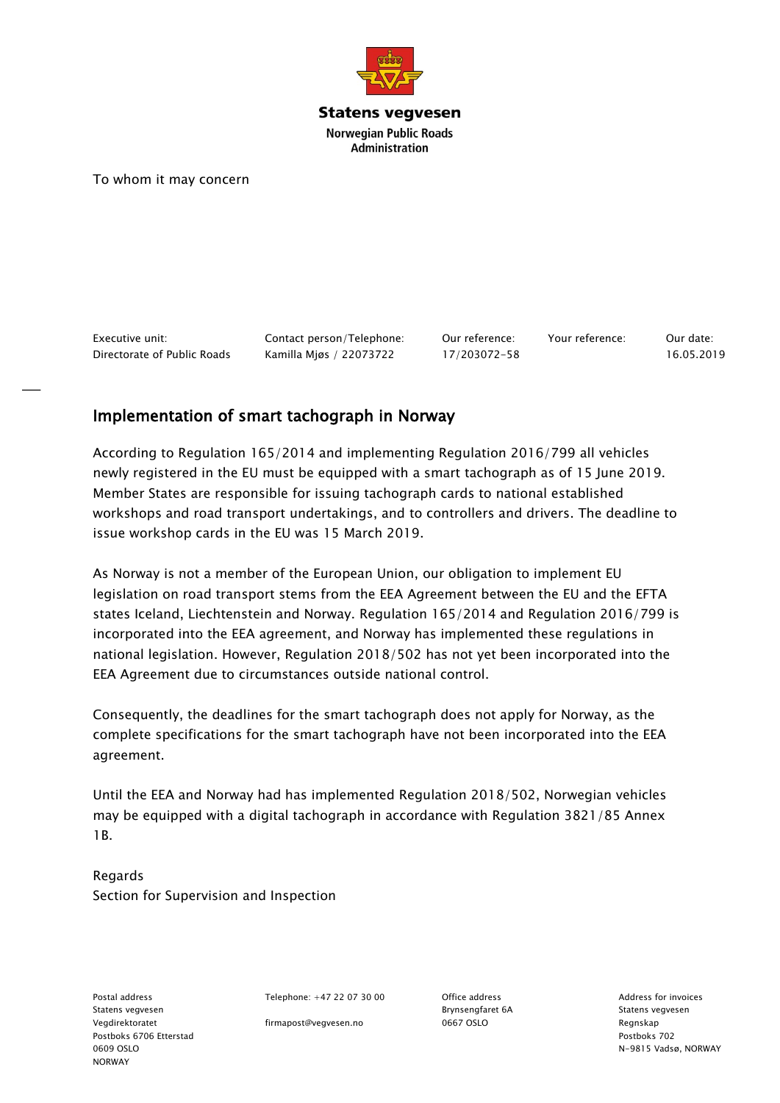

**Statens vegvesen Norwegian Public Roads Administration** 

To whom it may concern

Executive unit: Contact person/Telephone: Our reference: Your reference: Our date: Directorate of Public Roads Kamilla Mjøs / 22073722 17/203072-58 16.05.2019

## Implementation of smart tachograph in Norway

According to Regulation 165/2014 and implementing Regulation 2016/799 all vehicles newly registered in the EU must be equipped with a smart tachograph as of 15 June 2019. Member States are responsible for issuing tachograph cards to national established workshops and road transport undertakings, and to controllers and drivers. The deadline to issue workshop cards in the EU was 15 March 2019.

As Norway is not a member of the European Union, our obligation to implement EU legislation on road transport stems from the EEA Agreement between the EU and the EFTA states Iceland, Liechtenstein and Norway. Regulation 165/2014 and Regulation 2016/799 is incorporated into the EEA agreement, and Norway has implemented these regulations in national legislation. However, Regulation 2018/502 has not yet been incorporated into the EEA Agreement due to circumstances outside national control.

Consequently, the deadlines for the smart tachograph does not apply for Norway, as the complete specifications for the smart tachograph have not been incorporated into the EEA agreement.

Until the EEA and Norway had has implemented Regulation 2018/502, Norwegian vehicles may be equipped with a digital tachograph in accordance with Regulation 3821/85 Annex 1B.

Regards Section for Supervision and Inspection

Statens vegvesen Brynsengfaret 6A Statens vegvesen Vegdirektoratet firmapost@vegvesen.no 0667 OSLO Regnskap Postboks 6706 Etterstad Postboks 702 NORWAY

Postal address Telephone: +47 22 07 30 00 Office address Controllers Address for invoices

0609 OSLO N-9815 Vadsø, NORWAY